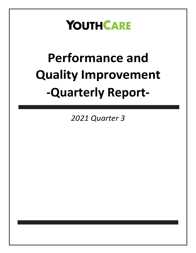### **YOUTHCARE**

## **Performance and Quality Improvement -Quarterly Report-**

*2021 Quarter 3*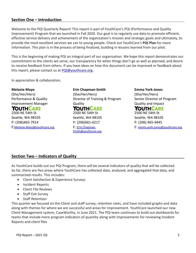#### **Section One – Introduction**

Welcome to the PQI Quarterly Report! This report is part of YouthCare's PQI (Performance and Quality Improvement) Program that we launched in Fall 2020. Our goal is to regularly use data to promote efficient, effective service delivery and achievement of the organization's mission and strategic goals and ultimately, to provide the most excellent services we can to young people. Check out YouthCare's **PQI Plan** for more information. This plan is in the process of being finalized, building in lessons learned from our pilot.

This is the beginning of making PQI an integral part of our organization. We hope this report demonstrates our commitment to the clients we serve, our transparency for when things don't go as well as planned, and desire to receive feedback from others. If you have ideas on how this document can be improved or feedback about this report, please contact us at [PQI@youthcare.org.](mailto:PQI@youthcare.org)

In appreciation & collaboration,

#### **Melanie Mayo**

(She/Her/Hers) Performance & Quality Improvement Manager

#### YOUTHCARE

2500 NE 54th St Seattle, WA 98105 P: (206)465-7914 E:[Melanie.Mayo@youthcare.org](mailto:Melanie.Mayo@youthcare.org) **Erin Chapman-Smith** (She/Her/Hers) Director of Training & Program **Quality** YOUTHCARE 2500 NE 54th St Seattle, WA 98105 P: (206)661-6217

E: [Erin.Chapman-](mailto:Erin.Chapman-Smith@youthcare.org)[Smith@youthcare.org](mailto:Erin.Chapman-Smith@youthcare.org) **Emma York-Jones** (She/Her/Hers) Senior Director of Program Quality and Impact YOUTHCARE 2500 NE 54th St Seattle, WA 98105 P: (206) 465-9445 E: [emma.york-jones@youthcare.org](file:///C:/Users/emma.york-Jones/AppData/Local/Microsoft/Windows/INetCache/Content.Outlook/S6AC1LL6/emma.york-jones@youthcare.org)

#### **Section Two – Indicators of Quality**

As YouthCare builds out our PQI Program, there will be several indicators of quality that will be collected. So far, there are five areas where YouthCare has collected data, analyzed, and aggregated that data, and summarized results. This includes:

- Client Satisfaction & Experience Surveys
- Incident Reports
- Client File Reviews
- Staff Exit Survey
- Staff Retention

This quarter we focused on the Client and staff survey, retention rates, and have included graphs and data along with themes for where we are successful and areas for improvement. YouthCare launched our new Client Management system, CaseWorthy, in June 2021. The PQI team continues to build out dashboards for teams that include more program indicators of quantity along with improvements for reviewing Incident Reports and client files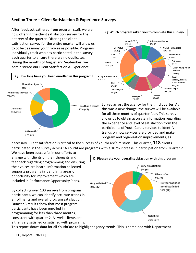#### **Section Three – Client Satisfaction & Experience Surveys**

After feedback gathered from program staff, we are now offering the client satisfaction survey for the entirety of the quarter. Offering the client satisfaction survey for the entire quarter will allow us to collect as many youth voices as possible. Programs individually track who has participated in the survey each quarter to ensure there are no duplicates. During the months of August and September, we administered our Client Satisfaction & Experience





Survey across the agency for the third quarter. As this was a new change, the survey will be available for all three months of quarter four. This survey allows us to obtain accurate information regarding the experience and level of satisfaction from the participants of YouthCare's services to identify trends on how services are provided and make program and organization improvements, as

necessary. Client satisfaction is critical to the success of YouthCare's mission. This quarter, **118** clients participated in the survey across 16 YouthCare programs with a 107% increase in participation from Quarter 2.

We have been successful in our efforts to engage with clients on their thoughts and feedback regarding programming and ensuring their voices are heard. Information collected supports programs in identifying areas of opportunity for improvement which are included in Performance Opportunity Plans.

By collecting over 100 surveys from program participants, we can identify accurate trends in enrollments and overall program satisfaction. Quarter 3 results show that most program participants have been enrolled in programming for less than three months, consistent with quarter 2. As well, clients are either very satisfied or satisfied with programs.



This report shows data for all YouthCare to highlight agency trends. This is combined with Department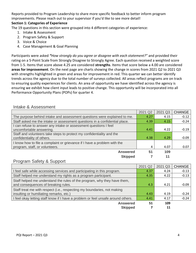Reports provided to Program Leadership to share more specific feedback to better inform program improvements. Please reach out to your supervisor if you'd like to see more detail!

#### **Section 1: Categories of Experience**

The 19 questions in this section were grouped into 4 different categories of experience:

- 1. Intake & Assessment
- 2. Program Safety & Support
- 3. Voice & Choice
- 4. Case Management & Goal Planning

Participants were asked *"How strongly do you agree or disagree with each statement?"* and provided their rating on a 5-Point Scale from Strongly Disagree to Strongly Agree. Each question received a weighted score from 1-5. Items that score above 4.25 are considered **strengths**. Items that score below a 4.00 are considered **areas for improvement**. On the next page are charts showing the change in scores from 2021 Q2 to 2021 Q3 with strengths highlighted in green and areas for improvement in red. This quarter we can better identify trends across the agency due to the total number of surveys collected. All areas reflect programs are on track to ensuring quality experiences for clients. An area of opportunity we have identified across the agency is ensuring we exhibit how client input leads to positive change. This opportunity will be incorporated into all Performance Opportunity Plans (POPs) for quarter 4.

#### Intake & Assessment

|                                                                            | 2021 Q2 | 2021 Q3 | <b>CHANGE</b> |
|----------------------------------------------------------------------------|---------|---------|---------------|
| The purpose behind intake and assessment questions were explained to me.   | 4.27    | 4.15    | $-0.12$       |
| Staff asked me the intake or assessment questions in a confidential place. | 4.39    | 4.15    | $-0.24$       |
| I can refuse to answer any intake or assessment questions I feel           |         |         |               |
| uncomfortable answering.                                                   | 4.41    | 4.22    | $-0.19$       |
| Staff and volunteers take steps to protect my confidentiality and the      | 4.38    | 4.29    |               |
| confidentiality of others.                                                 |         |         | $-0.09$       |
| I know how to file a complaint or grievance if I have a problem with the   |         |         |               |
| program, staff, or volunteers.                                             | 4       | 4.07    | 0.07          |
| <b>Answered</b>                                                            | 51      | 109     |               |
| <b>Skipped</b>                                                             |         | 11      |               |
|                                                                            |         |         |               |

#### Program Safety & Support

|                                                                                  | 2021 Q2 | 2021 Q3 | <b>CHANGE</b> |
|----------------------------------------------------------------------------------|---------|---------|---------------|
| I feel safe while accessing services and participating in this program.          | 4.37    | 4.24    | $-0.13$       |
| Staff helped me understand my rights as a program participant.                   | 4.35    | 4.22    | $-0.13$       |
| Staff helped me understand the rules of the program, why they have them,         |         |         |               |
| and consequences of breaking rules.                                              | 4.3     | 4.21    | $-0.09$       |
| Staff treat me with respect (i.e., respecting my boundaries, not making          |         |         |               |
| insulting or humiliating remarks, etc.)                                          | 4.43    | 4.19    | $-0.24$       |
| I feel okay letting staff know if I have a problem or feel unsafe around others. | 4.41    | 4.17    | $-0.24$       |
| <b>Answered</b>                                                                  | 51      | 109     |               |
| <b>Skipped</b>                                                                   |         | 11      |               |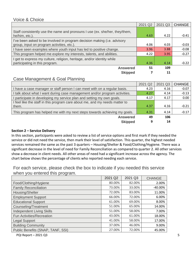#### Voice & Choice

|                                                                                                                        | 2021 Q2 | 2021 Q3 | <b>CHANGE</b> |
|------------------------------------------------------------------------------------------------------------------------|---------|---------|---------------|
| Staff consistently use the name and pronouns I use (ex. she/her, they/them,<br>he/him, etc.).                          | 4.63    | 4.22    | $-0.41$       |
| I've been asked to be involved in program decision making (i.e. advisory<br>group, input on program activities, etc.). | 4.06    | 4.03    | $-0.03$       |
| I have seen examples where youth input has led to positive change.                                                     | 3.96    | 3.88    | $-0.08$       |
| This program helped me explore my interests, talents, and abilities.                                                   | 4.22    | 3.95    | $-0.27$       |
| I get to express my culture, religion, heritage, and/or identity while<br>participating in this program.               | 4.36    | 4.14    | $-0.22$       |
| <b>Answered</b>                                                                                                        | 51      | 109     |               |
| <b>Skipped</b>                                                                                                         |         | 11      |               |

#### Case Management & Goal Planning

|                                                                             | 2021 Q2 | 2021 Q3 | <b>CHANGE</b> |
|-----------------------------------------------------------------------------|---------|---------|---------------|
| I have a case manager or staff person I can meet with on a regular basis.   | 4.23    | 4.16    | $-0.07$       |
| I talk about what I want during case management and/or program activities.  | 4.27    | 4.14    | $-0.13$       |
| participate in developing my service plan and setting my own goals.         | 4.17    | 4.17    | 0.00          |
| I feel like the staff in this program care about me, and my needs matter to |         |         |               |
| them.                                                                       | 4.37    | 4.16    | $-0.21$       |
| This program has helped me with my next steps towards achieving my goals.   | 4.31    | 4.14    | $-0.17$       |
| <b>Answered</b>                                                             | 49      | 106     |               |
| <b>Skipped</b>                                                              | 9       | 14      |               |

#### **Section 2 – Service Delivery**

In this section, participants were asked to review a list of service options and first mark if they needed the service or did not need the service, then mark their level of satisfaction. This quarter, the highest needed services remained the same as the past 3 quarters – Housing/Shelter & Food/Clothing/Hygiene. There was a significant decrease in the level of need for Family Reconciliation as compared to quarter 2. All other services show a decrease in client needs. All other areas of need had a significant increase across the agency. The chart below shows the percentage of clients who reported needing each service.

For each service, please check the box to indicate if you needed this service when you entered this program.

|                                   | 2021 Q2 | 2021 Q3 | <b>CHANGE</b> |
|-----------------------------------|---------|---------|---------------|
| Food/Clothing/Hygiene             | 80.00%  | 82.00%  | 2.00%         |
| <b>Family Reconciliation</b>      | 73.00%  | 33.00%  | $-40.00\%$    |
| Housing/Shelter                   | 72.00%  | 83.00%  | 11.00%        |
| <b>Employment Support</b>         | 66.00%  | 72.00%  | 6.00%         |
| <b>Educational Support</b>        | 61.00%  | 69.00%  | 8.00%         |
| Counseling/Treatment              | 51.00%  | 65.00%  | 14.00%        |
| <b>Independent Living Skills</b>  | 51.00%  | 58.00%  | 7.00%         |
| Fun Activities/Recreation         | 43.00%  | 61.00%  | 18.00%        |
| <b>Legal Support</b>              | 41.00%  | 58.00%  | 17.00%        |
| <b>Building Community</b>         | 37.00%  | 46.00%  | 9.00%         |
| Public Benefits (SNAP, TANF, SSI) | 27.00%  | 72.00%  | 45.00%        |
|                                   |         |         |               |

PQI Report – 2021 Q3 5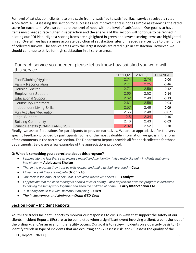For level of satisfaction, clients rate on a scale from unsatisfied to satisfied. Each service received a rated score from 1-3. Assessing this section for successes and improvements is not as simple as reviewing the rated score for each item. We also compare the level of need with the level of satisfaction. Our goal is to have items most needed rate higher in satisfaction and the analysis of this section will continue to be refined in piloting our PQI Plan. Highest scoring items are highlighted in green and lowest scoring items are highlighted in red. Overall, we have a more accurate depiction of satisfaction rates of needed services due to the number of collected surveys. The service areas with the largest needs are rated high in satisfaction. However, we should continue to strive for high satisfaction in all service areas.

For each service you needed, please let us know how satisfied you were with this service.

|                                   | 2021 Q2 | 2021 Q3 | <b>CHANGE</b> |
|-----------------------------------|---------|---------|---------------|
| Food/Clothing/Hygiene             | 2.74    | 2.74    | 0.00          |
| <b>Family Reconciliation</b>      | 2.71    | 2.25    | $-0.46$       |
| Housing/Shelter                   | 2.71    | 2.59    | $-0.12$       |
| <b>Employment Support</b>         | 2.66    | 2.52    | $-0.14$       |
| <b>Educational Support</b>        | 2.62    | 2.49    | $-0.13$       |
| Counseling/Treatment              | 2.61    | 2.58    | $-0.03$       |
| <b>Independent Living Skills</b>  | 2.57    | 2.48    | $-0.09$       |
| Fun Activities/Recreation         | 2.55    | 2.48    | $-0.07$       |
| Legal Support                     | 2.5     | 2.34    | $-0.16$       |
| <b>Building Community</b>         | 2.46    | 2.43    | $-0.03$       |
| Public Benefits (SNAP, TANF, SSI) | 2.32    | 2.52    | 0.20          |

Finally, we asked 2 questions for participants to provide narratives. We are so appreciative for the very specific feedback provided by participants. Some of the most valuable information we get is in the form of the comments in the narrative section. The Department Reports provide all feedback collected for those departments. Below are a few examples of the appreciations provided:

#### **Q: What is something you appreciate about this program?**

- *I appreciate the fact that I can express myself and my identity. I also really like unity in clients that come into shelter.* **– Adolescent Shelter**
- *That in the program they treat us with respect and make us feel very good. -* **Casa**
- *I love the staff they are helpful–* **Orion YAS**
- *Appreciate the amount of help that is provided whenever I need it. –* **Catalyst**
- *I appreciate that the case managers show a level of caring. I also appreciate how this program is dedicated to helping the family work together and keep the children at home. –* **Early Intervention CM**
- *Just being able to talk with staff about anything. -* **UDYC**
- *The inclusiveness and kindness – Orion GED Casa*

#### **Section Four – Incident Reports**

YouthCare tracks Incident Reports to monitor our responses to crisis in ways that support the safety of our clients. Incident Reports (IRs) are to be completed when a significant event involving a client, a behavior out of the ordinary, and/or an event in the facility occurs. Our goal is to review Incidents on a quarterly basis to (1) identify trends in type of incidents that are occurring and (2) assess risk, and (3) assess the quality of the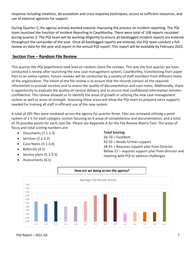response including timelines, de-escalation and crisis response techniques, access to sufficient resources, and use of external agencies for support.

During Quarter 3, the agency actively worked towards improving the process on incident reporting. The PQI team launched the function of Incident Reporting in CaseWorthy. There were total of 108 reports recorded during quarter 3. The PQI team will be working diligently to ensure all backlogged incident reports are entered throughout the remainder of the year. Once all backlogged reports are entered, the PQI team conduct a full review on data for the year and report in the annual PQI report. This report will be available by February 2022.

#### **Section Five – Random File Review**

This quarter the PQI department took lead on random client file reviews. This was the first quarter we have conducted a review after launching the new case management system, CaseWorthy, transitioning from paper files to an online system. Future reviews will be conducted by a variety of staff members from different levels of the organization. The intent of the file review is to ensure that the records contain all the required information to provide services and to assess the quality of documentation and case notes. Additionally, there is opportunity to evaluate the quality-of-service delivery and to ensure that confidential information remains confidential. This review allowed us to identify the areas of growth in utilizing the new case management system as well as areas of strength. Assessing these areas will allow the PQI team to pinpoint extra supports needed for training all staff in efficient use of the new system.

A total of 281 files were reviewed across the agency for quarter three. Files are reviewed utilizing a point system of 1-5 for each category section focusing on 6 areas of completeness and documentation, and a total of 70 possible points for each case file. Please see Appendix A for the File Review Matrix Tool. The areas of focus and total scoring numbers are:

- Documents (1.1-1.3)
- Services (2.1-2.2)
- Case Notes (3.1-3.4)
- Referrals (4.1)
- Service plans (5.1-5.3)
- Assessments (6.1)

#### **Total Scoring:**

56-70 = Excellent 42-55 = Needs further support 28-41 = Requires support plan from Director Below 27 – requires support plan from director and meeting with PQI to address challenges



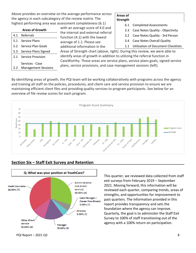Above provides an overview on the average performance across the agency in each subcategory of the review matrix. The highest performing area was assessment completeness (6.1)

#### **Areas of Strength**

6.1 Completed Assessments

- 3.3 Case Notes Quality Objectivity
- 3.2 Case Notes Quality 3rd Person
- 3.4 Case Notes Overall Quality
- 1.1 Utilization of Document Checklists

5.1 Service Plans 5.2 Service Plan Goals 5.3 Service Plans Signed 2.1 Service Provision 2.2 Services - Case Management Sessions

**Areas of Growth**

4.1 Referrals

Areas of Strength chart (above, right). During this review, we were able to identify areas of growth in addition to utilizing the referral function in CaseWorthy. Those areas are service plans, service plans goals, signed service plans, service provisions, and case management sessions (left).

By identifying areas of growth, the PQI team will be working collaboratively with programs across the agency and training all staff on the policies, procedures, and client care and service provision to ensure we are maintaining efficient client files and providing quality services to program participants. See below for an overview of file review scores for each program.

with an average score of 4.0 and the internal and external referral function (4.1) with the lowest average of 1.1. Please see additional information in the





#### **Section Six – Staff Exit Survey and Retention**

This quarter, we reviewed data collected from staff exit surveys from February 2019 – September 2021. Moving forward, this information will be reviewed each quarter, comparing trends, areas of strengths, and opportunities for improvement to past quarters. The information provided in this report provides transparency and sets the foundation where the agency can improve. Quarterly, the goal is to administer the Staff Exit Survey to 100% of staff transitioning out of the agency with a 100% return on participation.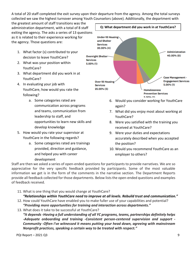A total of 20 staff completed the exit survey upon their departure from the agency. Among the total surveys collected we saw the highest turnover among Youth Counselors (above). Additionally, the department with

the greatest amount of staff transitions was the administration department, with a total of 8 staff exiting the agency. The asks a series of 13 questions as it is related to their experience working for the agency. Those questions are:

- 1. What factor (s) contributed to your decision to leave YouthCare?
- 2. What was your position within YouthCare?
- 3. What department did you work in at YouthCare?
- 4. In evaluating your job with YouthCare, how would you rate the following?
	- a. Some categories rated are communication across programs and teams, communication from leadership to staff, and opportunities to learn new skills and develop knowledge
- 5. How would you rate your supervisor at YouthCare in the following regards?
	- a. Some categories rated are trainings provided, direction and guidance, and helped you with career development



- 6. Would you consider working for YouthCare again?
- 7. What did you enjoy most about working at YouthCare?
- 8. Were you satisfied with the training you received at YouthCare?
- 9. Were your duties and expectations accurately described when you accepted the position?
- 10. Would you recommend YouthCare as an employer to others?

Staff are then we asked a series of open-ended questions for participants to provide narratives. We are so appreciative for the very specific feedback provided by participants. Some of the most valuable information we get is in the form of the comments in the narrative section. The Department Reports provide all feedback collected for those departments. Below lists the open-ended questions and examples of feedback received.

11. What is one thing that you would change at YouthCare?

*"Relationships within YouthCare need to improve at all levels. Rebuild trust and communication."*

- 12. How could YouthCare have enabled you to make fuller use of your capabilities and potential? *"Providing more opportunities for training and interaction across departments."*
- 13. What does it take to be successful at YouthCare? *"It depends -Having a full understanding of all YC programs, teams, partnerships definitely helps -Adequate onboarding and training -Consistent person-centered supervision and support - Community -Often I've witnessed it means putting your head down, agreeing with mainstream Nonprofit practices, speaking a certain way to be treated with respect."*

**Q: What department did you work in at YouthCare?**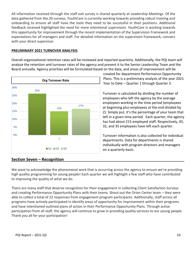All information received through the staff exit survey is shared quarterly at Leadership Meetings. Of the data gathered from the 20 surveys, YouthCare is currently working towards providing robust training and onboarding to ensure all staff have the tools they need to be successful in their positions. Additional feedback received highlighted the need for more intentional supervision. YouthCare is working towards this opportunity for improvement through the recent implementation of the Supervision Framework and expectations for all managers and staff. For detailed information on the supervision framework, connect with your direct supervisor.

#### **PRELIMINARY 2021 TURNOVER ANALYSIS**

Overall organizational retention rates will be reviewed and reported quarterly. Additionally, the PQI team will analyze the retention and turnover rates of the agency and present it to the Senior Leadership Team and the Board annually. Agency priorities will be formulated based on the data, and areas of improvement will be



#### created for department Performance Opportunity Plans. This is a preliminary analysis of the year 2021 Year to Date – Quarter 1 through Quarter 3.

Turnover is calculated by dividing the number of employees who left the agency by the average employees working in the time period (employees at beginning plus employees at the end divided by 2). Simply put, it's the percentage of your team that left in a given time period. Each quarter, the agency has had about 215 employed staff. Respectively, 45, 32, and 35 employees have left each quarter.

Turnover information is also collected for individual departments. Data for departments is shared individually with program directors and managers on a quarterly basis.

#### **Section Seven – Recognition**

We want to acknowledge the phenomenal work that is occurring across the agency to ensure we're providing high quality programming for young people! Each quarter we will highlight a few staff who have contributed to improving the quality of what we do.

There are many staff that deserve recognition for their engagement in collecting Client Satisfaction Surveys and creating Performance Opportunity Plans with their teams. Shout out the Orion Center team – they were able to collect a total of 22 responses from engagement program participants. Additionally, staff across all programs have actively participated in identify areas of opportunity for improvement within their programs and have intentioned outlined plans of action in their Performance Opportunity Plans. Through active participation from all staff, the agency will continue to grow in providing quality services to our young people. Thank you all for your participation!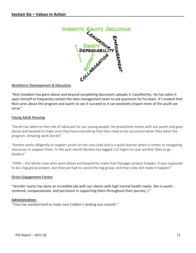

#### **Workforce Development & Education**

"Nick Goodwin has gone above and beyond completing document uploads in CaseWorthy. He has taken it upon himself to frequently contact the data management team to ask questions for his team. It's evident that Nick cares about the program and wants to see it succeed so it can positively impact more of the youth we serve."

#### **Young Adult Housing**

"Derek has taken on the role of advocate for our young people. He proactively meets with our youth and goes above and beyond to make sure they have everything that they need to be successful when they leave the program. Amazing work Derek!"

"Kendra works diligently to support youth on her case load and is a quick learner when it comes to navigating resources to support them. In the past month Kendra has logged 112 logins to case worthy! Way to go Kendra!"

"OMG – the whole crew who went above and beyond to make that Passages project happen. It was supposed to be a big group project, but then we had to cancel the big group, and that crew still made it happen!"

#### **Orion Engagement Center**

**"**Jennifer Juarez has done an incredible job with our clients with high mental health needs. She is youthcentered, compassionate, and persistent in supporting them throughout their journey :) "

#### **Administration:**

"Tony has worked hard to make sure Colleen's landing was smooth."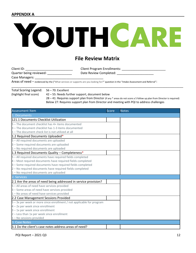#### **APPENDIX A**

# YOUTHCARE

#### **File Review Matrix**

| Client ID:              | <b>Client Program Enrollments:</b>                                                                                                   |
|-------------------------|--------------------------------------------------------------------------------------------------------------------------------------|
| Quarter being reviewed: | Date Review Completed:                                                                                                               |
| Case Managers:          |                                                                                                                                      |
|                         | Areas of need - evidenced by the ("What services or supports are you looking for?" question in the "Intake Assessment and Referral": |

Total Scoring Legend: 56 – 70: Excellent (highlight final score) 42 – 55: Needs further support, document below 28 – 41: Requires support plan from Director (if any \* areas do not score a 5 follow up plan from Director is required) Below 27: Requires support plan from Director and meeting with PQI to address challenges

\_\_\_\_\_\_\_\_\_\_\_\_\_\_\_\_\_\_\_\_\_\_\_\_\_\_\_\_\_\_\_\_\_\_\_\_\_\_\_\_\_\_\_\_\_\_\_\_\_\_\_\_\_\_\_\_\_\_\_\_\_\_\_\_\_\_\_\_\_\_\_\_\_\_\_\_\_\_\_\_\_\_\_\_\_\_\_\_\_\_\_\_\_\_\_\_\_\_

| <b>Assessment Item</b>                                                | Score | <b>Notes</b> |
|-----------------------------------------------------------------------|-------|--------------|
| 1. Documents                                                          |       |              |
| 121.1 Documents Checklist Utilization                                 |       |              |
| 5 - The document checklist has 4+ items documented                    |       |              |
| 3 - The document checklist has 1-3 items documented                   |       |              |
| 1 - The document check list is not utilized at all                    |       |              |
| 1.2 Required Documents Uploaded*                                      |       |              |
| 5 - All required documents are uploaded                               |       |              |
| 3 - Some required documents are uploaded                              |       |              |
| 1 - No required documents are uploaded                                |       |              |
| 1.3 Required Documents Quality - Completeness*                        |       |              |
| 5 - All required documents have required fields completed             |       |              |
| 4 - Most required documents have required fields completed            |       |              |
| 3 - Some required documents have required fields completed            |       |              |
| 2 - No required documents have required fields completed              |       |              |
| 1 - No required documents are uploaded                                |       |              |
| 2. Services                                                           |       |              |
| 2.1 Are the areas of need being addressed in service provision?       |       |              |
| 5 - All areas of need have services provided                          |       |              |
| 3 - Some areas of need have services provided                         |       |              |
| 1 - No areas of need have services provided                           |       |              |
| 2.2 Case Management Sessions Provided                                 |       |              |
| 5 – 3x per week or more since enrollment / not applicable for program |       |              |
| 4 - 2x per week since enrollment                                      |       |              |
| $3 - 1x$ per week since enrollment                                    |       |              |
| 2 - Less than 1x per week since enrollment                            |       |              |
| $1 - No$ sessions provided                                            |       |              |
| 3. Case Notes                                                         |       |              |
| 3.1 Do the client's case notes address areas of need?                 |       |              |